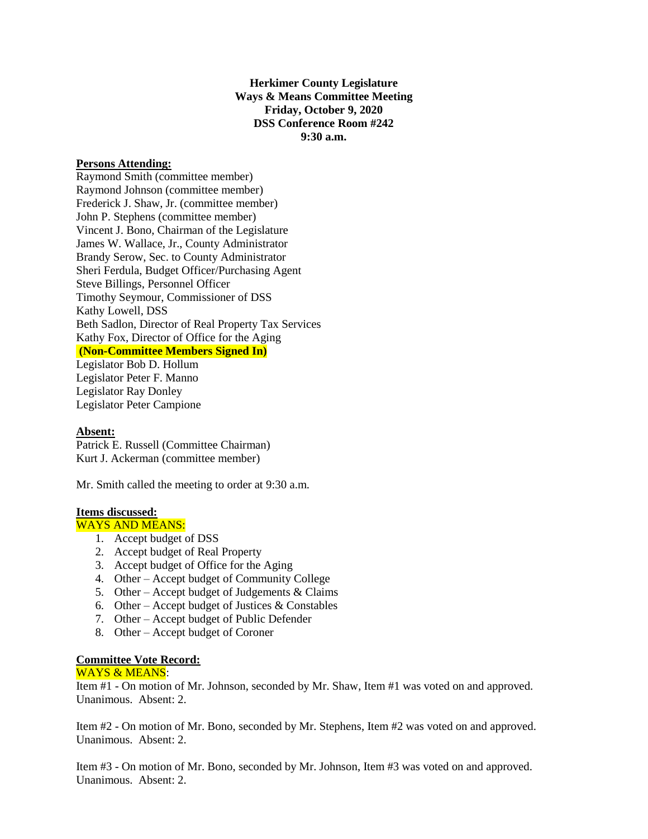**Herkimer County Legislature Ways & Means Committee Meeting Friday, October 9, 2020 DSS Conference Room #242 9:30 a.m.**

#### **Persons Attending:**

Raymond Smith (committee member) Raymond Johnson (committee member) Frederick J. Shaw, Jr. (committee member) John P. Stephens (committee member) Vincent J. Bono, Chairman of the Legislature James W. Wallace, Jr., County Administrator Brandy Serow, Sec. to County Administrator Sheri Ferdula, Budget Officer/Purchasing Agent Steve Billings, Personnel Officer Timothy Seymour, Commissioner of DSS Kathy Lowell, DSS Beth Sadlon, Director of Real Property Tax Services Kathy Fox, Director of Office for the Aging **(Non-Committee Members Signed In)**

Legislator Bob D. Hollum Legislator Peter F. Manno Legislator Ray Donley Legislator Peter Campione

# **Absent:**

Patrick E. Russell (Committee Chairman) Kurt J. Ackerman (committee member)

Mr. Smith called the meeting to order at 9:30 a.m.

# **Items discussed:**

WAYS AND MEANS:

- 1. Accept budget of DSS
- 2. Accept budget of Real Property
- 3. Accept budget of Office for the Aging
- 4. Other Accept budget of Community College
- 5. Other Accept budget of Judgements  $& \text{Clains}$
- 6. Other Accept budget of Justices  $&$  Constables
- 7. Other Accept budget of Public Defender
- 8. Other Accept budget of Coroner

### **Committee Vote Record:**

#### WAYS & MEANS:

Item #1 - On motion of Mr. Johnson, seconded by Mr. Shaw, Item #1 was voted on and approved. Unanimous. Absent: 2.

Item #2 - On motion of Mr. Bono, seconded by Mr. Stephens, Item #2 was voted on and approved. Unanimous. Absent: 2.

Item #3 - On motion of Mr. Bono, seconded by Mr. Johnson, Item #3 was voted on and approved. Unanimous. Absent: 2.